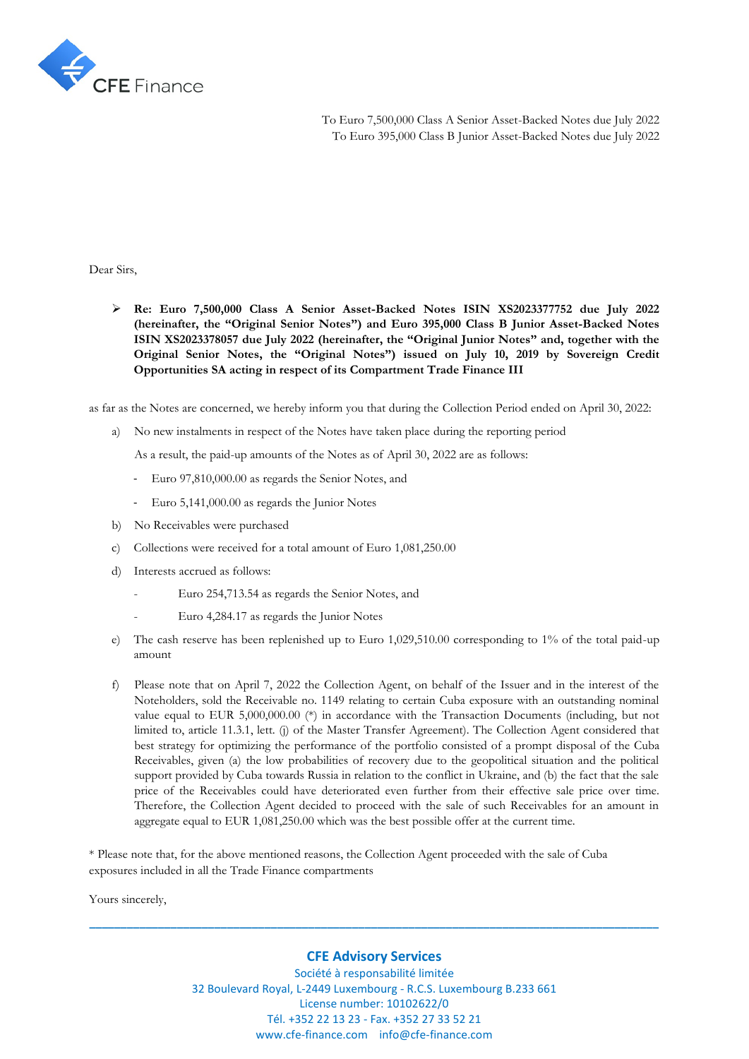

To Euro 7,500,000 Class A Senior Asset-Backed Notes due July 2022 To Euro 395,000 Class B Junior Asset-Backed Notes due July 2022

Dear Sirs,

➢ **Re: Euro 7,500,000 Class A Senior Asset-Backed Notes ISIN XS2023377752 due July 2022 (hereinafter, the "Original Senior Notes") and Euro 395,000 Class B Junior Asset-Backed Notes ISIN XS2023378057 due July 2022 (hereinafter, the "Original Junior Notes" and, together with the Original Senior Notes, the "Original Notes") issued on July 10, 2019 by Sovereign Credit Opportunities SA acting in respect of its Compartment Trade Finance III**

as far as the Notes are concerned, we hereby inform you that during the Collection Period ended on April 30, 2022:

a) No new instalments in respect of the Notes have taken place during the reporting period

As a result, the paid-up amounts of the Notes as of April 30, 2022 are as follows:

- Euro 97,810,000.00 as regards the Senior Notes, and
- Euro 5,141,000.00 as regards the Junior Notes
- b) No Receivables were purchased
- c) Collections were received for a total amount of Euro 1,081,250.00
- d) Interests accrued as follows:
	- Euro 254,713.54 as regards the Senior Notes, and
		- Euro 4,284.17 as regards the Junior Notes
- e) The cash reserve has been replenished up to Euro 1,029,510.00 corresponding to 1% of the total paid-up amount
- f) Please note that on April 7, 2022 the Collection Agent, on behalf of the Issuer and in the interest of the Noteholders, sold the Receivable no. 1149 relating to certain Cuba exposure with an outstanding nominal value equal to EUR 5,000,000.00 (\*) in accordance with the Transaction Documents (including, but not limited to, article 11.3.1, lett. (j) of the Master Transfer Agreement). The Collection Agent considered that best strategy for optimizing the performance of the portfolio consisted of a prompt disposal of the Cuba Receivables, given (a) the low probabilities of recovery due to the geopolitical situation and the political support provided by Cuba towards Russia in relation to the conflict in Ukraine, and (b) the fact that the sale price of the Receivables could have deteriorated even further from their effective sale price over time. Therefore, the Collection Agent decided to proceed with the sale of such Receivables for an amount in aggregate equal to EUR 1,081,250.00 which was the best possible offer at the current time.

\* Please note that, for the above mentioned reasons, the Collection Agent proceeded with the sale of Cuba exposures included in all the Trade Finance compartments

Yours sincerely,

## **CFE Advisory Services**

**\_\_\_\_\_\_\_\_\_\_\_\_\_\_\_\_\_\_\_\_\_\_\_\_\_\_\_\_\_\_\_\_\_\_\_\_\_\_\_\_\_\_\_\_\_\_\_\_\_\_\_\_\_\_\_\_\_\_\_\_\_\_\_\_\_\_\_\_\_\_\_\_\_\_\_\_\_\_\_\_\_\_\_\_\_\_\_\_\_\_\_**

Société à responsabilité limitée 32 Boulevard Royal, L-2449 Luxembourg - R.C.S. Luxembourg B.233 661 License number: 10102622/0 Tél. +352 22 13 23 - Fax. +352 27 33 52 21 www.cfe-finance.com info@cfe-finance.com